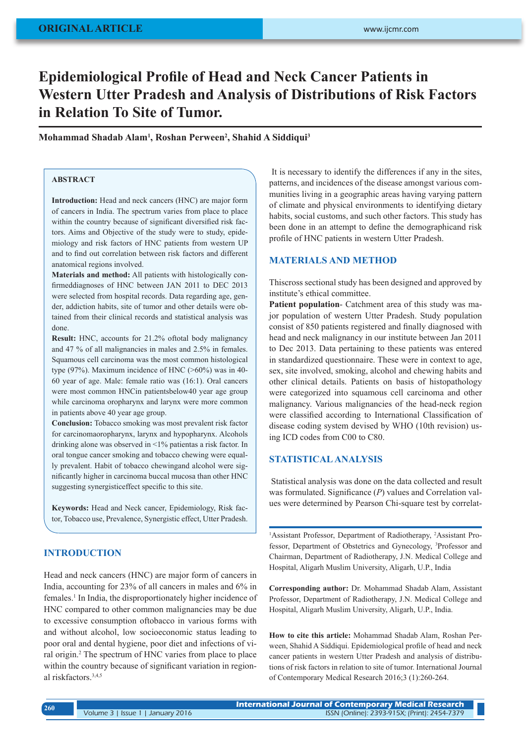# **Epidemiological Profile of Head and Neck Cancer Patients in Western Utter Pradesh and Analysis of Distributions of Risk Factors in Relation To Site of Tumor.**

## **Mohammad Shadab Alam<sup>1</sup> , Roshan Perween<sup>2</sup> , Shahid A Siddiqui<sup>3</sup>**

## **ABSTRACT**

**Introduction:** Head and neck cancers (HNC) are major form of cancers in India. The spectrum varies from place to place within the country because of significant diversified risk factors. Aims and Objective of the study were to study, epidemiology and risk factors of HNC patients from western UP and to find out correlation between risk factors and different anatomical regions involved.

**Materials and method:** All patients with histologically confirmeddiagnoses of HNC between JAN 2011 to DEC 2013 were selected from hospital records. Data regarding age, gender, addiction habits, site of tumor and other details were obtained from their clinical records and statistical analysis was done.

**Result:** HNC, accounts for 21.2% oftotal body malignancy and 47 % of all malignancies in males and 2.5% in females. Squamous cell carcinoma was the most common histological type (97%). Maximum incidence of HNC (>60%) was in 40- 60 year of age. Male: female ratio was (16:1). Oral cancers were most common HNCin patientsbelow40 year age group while carcinoma oropharynx and larynx were more common in patients above 40 year age group.

**Conclusion:** Tobacco smoking was most prevalent risk factor for carcinomaoropharynx, larynx and hypopharynx. Alcohols drinking alone was observed in <1% patientas a risk factor. In oral tongue cancer smoking and tobacco chewing were equally prevalent. Habit of tobacco chewingand alcohol were significantly higher in carcinoma buccal mucosa than other HNC suggesting synergisticeffect specific to this site.

**Keywords:** Head and Neck cancer, Epidemiology, Risk factor, Tobacco use, Prevalence, Synergistic effect, Utter Pradesh.

# **INTRODUCTION**

Head and neck cancers (HNC) are major form of cancers in India, accounting for 23% of all cancers in males and 6% in females.<sup>1</sup> In India, the disproportionately higher incidence of HNC compared to other common malignancies may be due to excessive consumption oftobacco in various forms with and without alcohol, low socioeconomic status leading to poor oral and dental hygiene, poor diet and infections of viral origin.<sup>2</sup> The spectrum of HNC varies from place to place within the country because of significant variation in regional riskfactors.3,4,5

 It is necessary to identify the differences if any in the sites, patterns, and incidences of the disease amongst various communities living in a geographic areas having varying pattern of climate and physical environments to identifying dietary habits, social customs, and such other factors. This study has been done in an attempt to define the demographicand risk profile of HNC patients in western Utter Pradesh.

### **MATERIALS AND METHOD**

Thiscross sectional study has been designed and approved by institute's ethical committee.

**Patient population**- Catchment area of this study was major population of western Utter Pradesh. Study population consist of 850 patients registered and finally diagnosed with head and neck malignancy in our institute between Jan 2011 to Dec 2013. Data pertaining to these patients was entered in standardized questionnaire. These were in context to age, sex, site involved, smoking, alcohol and chewing habits and other clinical details. Patients on basis of histopathology were categorized into squamous cell carcinoma and other malignancy. Various malignancies of the head-neck region were classified according to International Classification of disease coding system devised by WHO (10th revision) using ICD codes from C00 to C80.

# **STATISTICAL ANALYSIS**

 Statistical analysis was done on the data collected and result was formulated. Significance (*P*) values and Correlation values were determined by Pearson Chi-square test by correlat-

<sup>1</sup>Assistant Professor, Department of Radiotherapy, <sup>2</sup>Assistant Professor, Department of Obstetrics and Gynecology, 3 Professor and Chairman, Department of Radiotherapy, J.N. Medical College and Hospital, Aligarh Muslim University, Aligarh, U.P., India

**Corresponding author:** Dr. Mohammad Shadab Alam, Assistant Professor, Department of Radiotherapy, J.N. Medical College and Hospital, Aligarh Muslim University, Aligarh, U.P., India.

**How to cite this article:** Mohammad Shadab Alam, Roshan Perween, Shahid A Siddiqui. Epidemiological profile of head and neck cancer patients in western Utter Pradesh and analysis of distributions of risk factors in relation to site of tumor. International Journal of Contemporary Medical Research 2016;3 (1):260-264.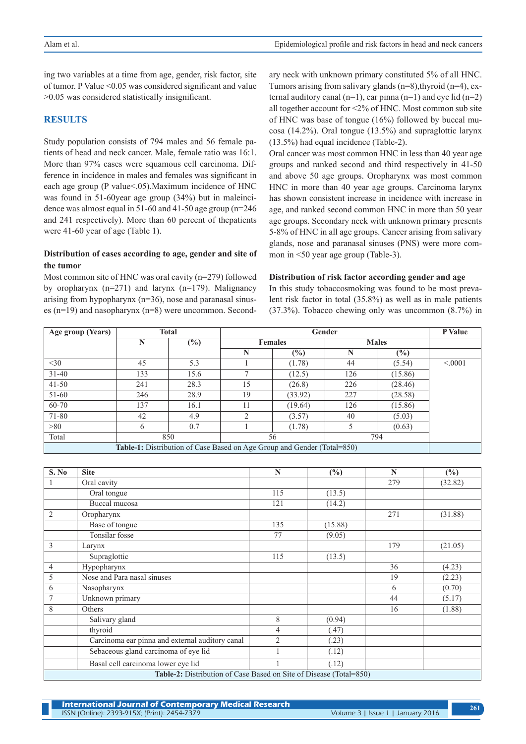ing two variables at a time from age, gender, risk factor, site of tumor. P Value <0.05 was considered significant and value >0.05 was considered statistically insignificant.

## **RESULTS**

Study population consists of 794 males and 56 female patients of head and neck cancer. Male, female ratio was 16:1. More than 97% cases were squamous cell carcinoma. Difference in incidence in males and females was significant in each age group (P value<.05).Maximum incidence of HNC was found in 51-60year age group (34%) but in maleincidence was almost equal in 51-60 and 41-50 age group (n=246 and 241 respectively). More than 60 percent of thepatients were 41-60 year of age (Table 1).

## **Distribution of cases according to age, gender and site of the tumor**

Most common site of HNC was oral cavity (n=279) followed by oropharynx  $(n=271)$  and larynx  $(n=179)$ . Malignancy arising from hypopharynx (n=36), nose and paranasal sinuses (n=19) and nasopharynx (n=8) were uncommon. Secondary neck with unknown primary constituted 5% of all HNC. Tumors arising from salivary glands  $(n=8)$ , thyroid  $(n=4)$ , external auditory canal  $(n=1)$ , ear pinna  $(n=1)$  and eye lid  $(n=2)$ all together account for <2% of HNC. Most common sub site of HNC was base of tongue (16%) followed by buccal mucosa (14.2%). Oral tongue (13.5%) and supraglottic larynx (13.5%) had equal incidence (Table-2).

Oral cancer was most common HNC in less than 40 year age groups and ranked second and third respectively in 41-50 and above 50 age groups. Oropharynx was most common HNC in more than 40 year age groups. Carcinoma larynx has shown consistent increase in incidence with increase in age, and ranked second common HNC in more than 50 year age groups. Secondary neck with unknown primary presents 5-8% of HNC in all age groups. Cancer arising from salivary glands, nose and paranasal sinuses (PNS) were more common in <50 year age group (Table-3).

#### **Distribution of risk factor according gender and age**

In this study tobaccosmoking was found to be most prevalent risk factor in total (35.8%) as well as in male patients (37.3%). Tobacco chewing only was uncommon (8.7%) in

| Age group (Years)                                                       |     | <b>Total</b> |                | P Value       |              |         |         |  |
|-------------------------------------------------------------------------|-----|--------------|----------------|---------------|--------------|---------|---------|--|
|                                                                         | N   | $(\%)$       | <b>Females</b> |               | <b>Males</b> |         |         |  |
|                                                                         |     |              | N              | $\frac{6}{6}$ | N            | (%)     |         |  |
| $<$ 30                                                                  | 45  | 5.3          |                | (1.78)        | 44           | (5.54)  | < 0.001 |  |
| $31 - 40$                                                               | 133 | 15.6         | Ξ              | (12.5)        | 126          | (15.86) |         |  |
| $41 - 50$                                                               | 241 | 28.3         | 15             | (26.8)        | 226          | (28.46) |         |  |
| 51-60                                                                   | 246 | 28.9         | 19             | (33.92)       | 227          | (28.58) |         |  |
| 60-70                                                                   | 137 | 16.1         | 11             | (19.64)       | 126          | (15.86) |         |  |
| 71-80                                                                   | 42  | 4.9          | $\overline{2}$ | (3.57)        | 40           | (5.03)  |         |  |
| >80                                                                     | 6   | 0.7          |                | (1.78)        | 5            | (0.63)  |         |  |
| Total                                                                   | 850 |              | 56             |               | 794          |         |         |  |
| Table-1: Distribution of Case Based on Age Group and Gender (Total=850) |     |              |                |               |              |         |         |  |

| S. No                                                              | <b>Site</b>                                     | $\mathbb{N}$   | $(\%)$  | $\mathbf N$ | (%)     |  |  |  |
|--------------------------------------------------------------------|-------------------------------------------------|----------------|---------|-------------|---------|--|--|--|
|                                                                    | Oral cavity                                     |                |         | 279         | (32.82) |  |  |  |
|                                                                    | Oral tongue                                     | 115            | (13.5)  |             |         |  |  |  |
|                                                                    | Buccal mucosa                                   | 121            | (14.2)  |             |         |  |  |  |
| $\overline{2}$                                                     | Oropharynx                                      |                |         | 271         | (31.88) |  |  |  |
|                                                                    | Base of tongue                                  | 135            | (15.88) |             |         |  |  |  |
|                                                                    | <b>Tonsilar</b> fosse                           | 77             | (9.05)  |             |         |  |  |  |
| 3                                                                  | Larynx                                          |                |         | 179         | (21.05) |  |  |  |
|                                                                    | Supraglottic                                    | 115            | (13.5)  |             |         |  |  |  |
| $\overline{4}$                                                     | Hypopharynx                                     |                |         | 36          | (4.23)  |  |  |  |
| 5                                                                  | Nose and Para nasal sinuses                     |                |         | 19          | (2.23)  |  |  |  |
| 6                                                                  | Nasopharynx                                     |                |         | 6           | (0.70)  |  |  |  |
| 7                                                                  | Unknown primary                                 |                |         | 44          | (5.17)  |  |  |  |
| 8                                                                  | Others                                          |                |         | 16          | (1.88)  |  |  |  |
|                                                                    | Salivary gland                                  | 8              | (0.94)  |             |         |  |  |  |
|                                                                    | thyroid                                         | 4              | (.47)   |             |         |  |  |  |
|                                                                    | Carcinoma ear pinna and external auditory canal | $\overline{2}$ | (23)    |             |         |  |  |  |
|                                                                    | Sebaceous gland carcinoma of eye lid            |                | (.12)   |             |         |  |  |  |
|                                                                    | Basal cell carcinoma lower eye lid              |                | (.12)   |             |         |  |  |  |
| Table-2: Distribution of Case Based on Site of Disease (Total=850) |                                                 |                |         |             |         |  |  |  |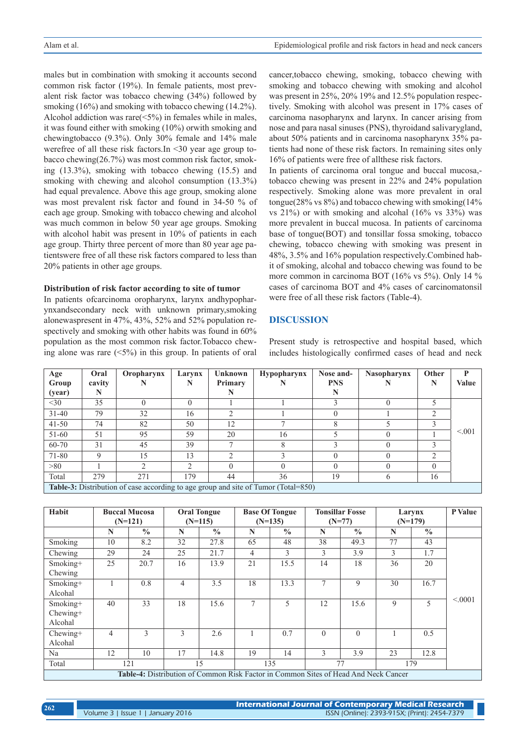males but in combination with smoking it accounts second common risk factor (19%). In female patients, most prevalent risk factor was tobacco chewing (34%) followed by smoking (16%) and smoking with tobacco chewing (14.2%). Alcohol addiction was rare(<5%) in females while in males, it was found either with smoking (10%) orwith smoking and chewingtobacco (9.3%). Only 30% female and 14% male werefree of all these risk factors.In <30 year age group tobacco chewing(26.7%) was most common risk factor, smoking (13.3%), smoking with tobacco chewing (15.5) and smoking with chewing and alcohol consumption (13.3%) had equal prevalence. Above this age group, smoking alone was most prevalent risk factor and found in 34-50 % of each age group. Smoking with tobacco chewing and alcohol was much common in below 50 year age groups. Smoking with alcohol habit was present in 10% of patients in each age group. Thirty three percent of more than 80 year age patientswere free of all these risk factors compared to less than 20% patients in other age groups.

#### **Distribution of risk factor according to site of tumor**

In patients ofcarcinoma oropharynx, larynx andhypopharynxandsecondary neck with unknown primary,smoking alonewaspresent in 47%, 43%, 52% and 52% population respectively and smoking with other habits was found in 60% population as the most common risk factor.Tobacco chewing alone was rare  $(5\%)$  in this group. In patients of oral cancer,tobacco chewing, smoking, tobacco chewing with smoking and tobacco chewing with smoking and alcohol was present in 25%, 20% 19% and 12.5% population respectively. Smoking with alcohol was present in 17% cases of carcinoma nasopharynx and larynx. In cancer arising from nose and para nasal sinuses (PNS), thyroidand salivarygland, about 50% patients and in carcinoma nasopharynx 35% patients had none of these risk factors. In remaining sites only 16% of patients were free of allthese risk factors.

In patients of carcinoma oral tongue and buccal mucosa, tobacco chewing was present in 22% and 24% population respectively. Smoking alone was more prevalent in oral tongue(28% vs 8%) and tobacco chewing with smoking(14% vs 21%) or with smoking and alcohal (16% vs 33%) was more prevalent in buccal mucosa. In patients of carcinoma base of tongue(BOT) and tonsillar fossa smoking, tobacco chewing, tobacco chewing with smoking was present in 48%, 3.5% and 16% population respectively.Combined habit of smoking, alcohal and tobacco chewing was found to be more common in carcinoma BOT (16% vs 5%). Only 14 % cases of carcinoma BOT and 4% cases of carcinomatonsil were free of all these risk factors (Table-4).

### **DISCUSSION**

Present study is retrospective and hospital based, which includes histologically confirmed cases of head and neck

| Age                                                                                | Oral   | Oropharynx | Larynx        | <b>Unknown</b> | <b>Hypopharynx</b> | Nose and-  | <b>Nasopharynx</b> | <b>Other</b> | D            |  |
|------------------------------------------------------------------------------------|--------|------------|---------------|----------------|--------------------|------------|--------------------|--------------|--------------|--|
| Group                                                                              | cavity |            |               | Primary        |                    | <b>PNS</b> |                    | N            | <b>Value</b> |  |
| (year)                                                                             | N      |            |               |                |                    | N          |                    |              |              |  |
| $<$ 30                                                                             | 35     |            |               |                |                    |            |                    |              |              |  |
| $31 - 40$                                                                          | 79     | 32         | 16            | ◠              |                    |            |                    | ◠            |              |  |
| $41 - 50$                                                                          | 74     | 82         | 50            | 12             |                    | 8          |                    |              |              |  |
| $51 - 60$                                                                          | 51     | 95         | 59            | 20             | 16                 |            |                    |              | < 0.01       |  |
| 60-70                                                                              | 31     | 45         | 39            |                |                    | ζ          |                    |              |              |  |
| 71-80                                                                              | 9      | 15         | 13            | $\bigcirc$     |                    |            |                    | ∍            |              |  |
| >80                                                                                |        |            | $\mathcal{L}$ | $\Omega$       |                    |            |                    | $\Omega$     |              |  |
| Total                                                                              | 279    | 271        | 179           | 44             | 36                 | 19         |                    | 16           |              |  |
| Table-3: Distribution of case according to age group and site of Tumor (Total=850) |        |            |               |                |                    |            |                    |              |              |  |

| Habit                                                                                      | <b>Buccal Mucosa</b><br>$(N=121)$ |               | <b>Oral Tongue</b><br>$(N=115)$ |               | <b>Base Of Tongue</b><br>$(N=135)$ |               | <b>Tonsillar Fosse</b><br>$(N=77)$ |               | Larynx<br>$(N=179)$ |               | P Value |
|--------------------------------------------------------------------------------------------|-----------------------------------|---------------|---------------------------------|---------------|------------------------------------|---------------|------------------------------------|---------------|---------------------|---------------|---------|
|                                                                                            | N                                 | $\frac{0}{0}$ | N                               | $\frac{0}{0}$ | $\mathbf N$                        | $\frac{0}{0}$ | N                                  | $\frac{0}{0}$ | N                   | $\frac{0}{0}$ |         |
| Smoking                                                                                    | 10                                | 8.2           | 32                              | 27.8          | 65                                 | 48            | 38                                 | 49.3          | 77                  | 43            |         |
| Chewing                                                                                    | 29                                | 24            | 25                              | 21.7          | $\overline{4}$                     | 3             | 3                                  | 3.9           | 3                   | 1.7           |         |
| Smoking+<br>Chewing                                                                        | 25                                | 20.7          | 16                              | 13.9          | 21                                 | 15.5          | 14                                 | 18            | 36                  | 20            |         |
| Smoking+<br>Alcohal                                                                        |                                   | 0.8           | $\overline{4}$                  | 3.5           | 18                                 | 13.3          | 7                                  | 9             | 30                  | 16.7          |         |
| Smoking+<br>$Chewing+$<br>Alcohal                                                          | 40                                | 33            | 18                              | 15.6          | $\tau$                             | 5             | 12                                 | 15.6          | 9                   | 5             | < 0.001 |
| $Chewing+$<br>Alcohal                                                                      | 4                                 | $\mathcal{E}$ | 3                               | 2.6           |                                    | 0.7           | $\theta$                           | $\theta$      |                     | 0.5           |         |
| Na                                                                                         | 12                                | 10            | 17                              | 14.8          | 19                                 | 14            | 3                                  | 3.9           | 23                  | 12.8          |         |
| Total                                                                                      | 121                               |               |                                 | 15            |                                    | 135           |                                    | 77            | 179                 |               |         |
| <b>Table-4:</b> Distribution of Common Risk Factor in Common Sites of Head And Neck Cancer |                                   |               |                                 |               |                                    |               |                                    |               |                     |               |         |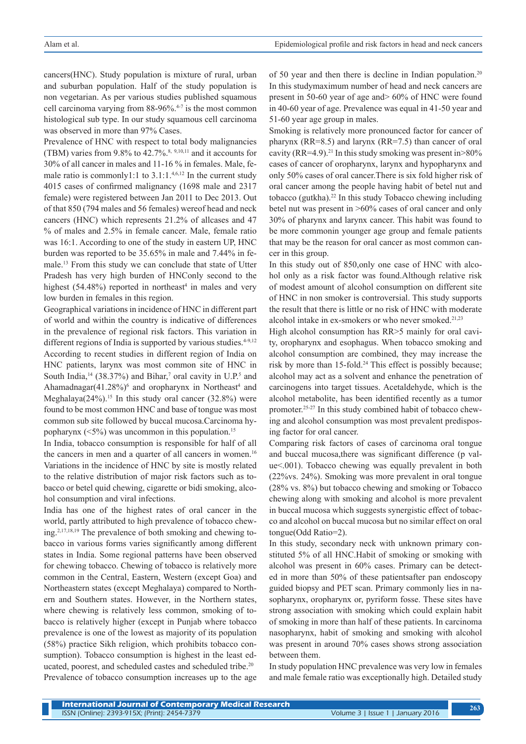cancers(HNC). Study population is mixture of rural, urban and suburban population. Half of the study population is non vegetarian. As per various studies published squamous cell carcinoma varying from  $88-96\%$ .<sup>4-7</sup> is the most common histological sub type. In our study squamous cell carcinoma was observed in more than 97% Cases.

Prevalence of HNC with respect to total body malignancies (TBM) varies from  $9.8\%$  to  $42.7\%$ .<sup>8, 9,10,11</sup> and it accounts for 30% of all cancer in males and 11-16 % in females. Male, female ratio is commonly1:1 to 3.1:1.<sup>4,6,12</sup> In the current study 4015 cases of confirmed malignancy (1698 male and 2317 female) were registered between Jan 2011 to Dec 2013. Out of that 850 (794 males and 56 females) wereof head and neck cancers (HNC) which represents 21.2% of allcases and 47 % of males and 2.5% in female cancer. Male, female ratio was 16:1. According to one of the study in eastern UP, HNC burden was reported to be 35.65% in male and 7.44% in female.13 From this study we can conclude that state of Utter Pradesh has very high burden of HNConly second to the highest  $(54.48%)$  reported in northeast<sup>4</sup> in males and very low burden in females in this region.

Geographical variations in incidence of HNC in different part of world and within the country is indicative of differences in the prevalence of regional risk factors. This variation in different regions of India is supported by various studies.<sup>4-9,12</sup> According to recent studies in different region of India on HNC patients, larynx was most common site of HNC in South India,<sup>14</sup> (38.37%) and Bihar,<sup>7</sup> oral cavity in U.P.<sup>5</sup> and Ahamadnagar $(41.28\%)^6$  and oropharynx in Northeast<sup>4</sup> and Meghalaya( $24\%$ ).<sup>15</sup> In this study oral cancer ( $32.8\%$ ) were found to be most common HNC and base of tongue was most common sub site followed by buccal mucosa.Carcinoma hypopharynx  $(<5\%)$  was uncommon in this population.<sup>15</sup>

In India, tobacco consumption is responsible for half of all the cancers in men and a quarter of all cancers in women.<sup>16</sup> Variations in the incidence of HNC by site is mostly related to the relative distribution of major risk factors such as tobacco or betel quid chewing, cigarette or bidi smoking, alcohol consumption and viral infections.

India has one of the highest rates of oral cancer in the world, partly attributed to high prevalence of tobacco chewing.2,17,18,19 The prevalence of both smoking and chewing tobacco in various forms varies significantly among different states in India. Some regional patterns have been observed for chewing tobacco. Chewing of tobacco is relatively more common in the Central, Eastern, Western (except Goa) and Northeastern states (except Meghalaya) compared to Northern and Southern states. However, in the Northern states, where chewing is relatively less common, smoking of tobacco is relatively higher (except in Punjab where tobacco prevalence is one of the lowest as majority of its population (58%) practice Sikh religion, which prohibits tobacco consumption). Tobacco consumption is highest in the least educated, poorest, and scheduled castes and scheduled tribe.<sup>20</sup> Prevalence of tobacco consumption increases up to the age

of 50 year and then there is decline in Indian population.20 In this studymaximum number of head and neck cancers are present in 50-60 year of age and> 60% of HNC were found in 40-60 year of age. Prevalence was equal in 41-50 year and 51-60 year age group in males.

Smoking is relatively more pronounced factor for cancer of pharynx (RR=8.5) and larynx (RR=7.5) than cancer of oral cavity (RR=4.9).<sup>21</sup> In this study smoking was present in  $>80\%$ cases of cancer of oropharynx, larynx and hypopharynx and only 50% cases of oral cancer.There is six fold higher risk of oral cancer among the people having habit of betel nut and tobacco (gutkha).<sup>22</sup> In this study Tobacco chewing including betel nut was present in >60% cases of oral cancer and only 30% of pharynx and larynx cancer. This habit was found to be more commonin younger age group and female patients that may be the reason for oral cancer as most common cancer in this group.

In this study out of 850,only one case of HNC with alcohol only as a risk factor was found.Although relative risk of modest amount of alcohol consumption on different site of HNC in non smoker is controversial. This study supports the result that there is little or no risk of HNC with moderate alcohol intake in ex-smokers or who never smoked.<sup>21,23</sup>

High alcohol consumption has RR>5 mainly for oral cavity, oropharynx and esophagus. When tobacco smoking and alcohol consumption are combined, they may increase the risk by more than 15-fold.<sup>24</sup> This effect is possibly because; alcohol may act as a solvent and enhance the penetration of carcinogens into target tissues. Acetaldehyde, which is the alcohol metabolite, has been identified recently as a tumor promoter.25-27 In this study combined habit of tobacco chewing and alcohol consumption was most prevalent predisposing factor for oral cancer.

Comparing risk factors of cases of carcinoma oral tongue and buccal mucosa,there was significant difference (p value<.001). Tobacco chewing was equally prevalent in both (22%vs. 24%). Smoking was more prevalent in oral tongue (28% vs. 8%) but tobacco chewing and smoking or Tobacco chewing along with smoking and alcohol is more prevalent in buccal mucosa which suggests synergistic effect of tobacco and alcohol on buccal mucosa but no similar effect on oral tongue(Odd Ratio=2).

In this study, secondary neck with unknown primary constituted 5% of all HNC.Habit of smoking or smoking with alcohol was present in 60% cases. Primary can be detected in more than 50% of these patientsafter pan endoscopy guided biopsy and PET scan. Primary commonly lies in nasopharynx, oropharynx or, pyriform fosse. These sites have strong association with smoking which could explain habit of smoking in more than half of these patients. In carcinoma nasopharynx, habit of smoking and smoking with alcohol was present in around 70% cases shows strong association between them.

In study population HNC prevalence was very low in females and male female ratio was exceptionally high. Detailed study